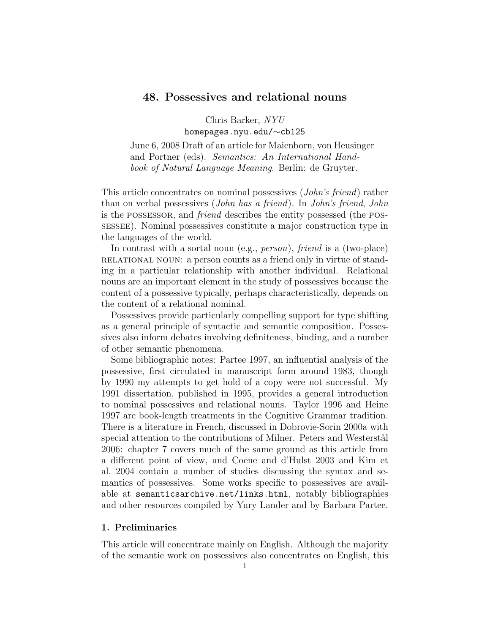# 48. Possessives and relational nouns

Chris Barker, NYU homepages.nyu.edu/∼cb125

June 6, 2008 Draft of an article for Maienborn, von Heusinger and Portner (eds). Semantics: An International Handbook of Natural Language Meaning. Berlin: de Gruyter.

This article concentrates on nominal possessives (John's friend) rather than on verbal possessives (John has a friend). In John's friend, John is the POSSESSOR, and *friend* describes the entity possessed (the POSsessee). Nominal possessives constitute a major construction type in the languages of the world.

In contrast with a sortal noun (e.g., *person*), *friend* is a (two-place) relational noun: a person counts as a friend only in virtue of standing in a particular relationship with another individual. Relational nouns are an important element in the study of possessives because the content of a possessive typically, perhaps characteristically, depends on the content of a relational nominal.

Possessives provide particularly compelling support for type shifting as a general principle of syntactic and semantic composition. Possessives also inform debates involving definiteness, binding, and a number of other semantic phenomena.

Some bibliographic notes: Partee 1997, an influential analysis of the possessive, first circulated in manuscript form around 1983, though by 1990 my attempts to get hold of a copy were not successful. My 1991 dissertation, published in 1995, provides a general introduction to nominal possessives and relational nouns. Taylor 1996 and Heine 1997 are book-length treatments in the Cognitive Grammar tradition. There is a literature in French, discussed in Dobrovie-Sorin 2000a with special attention to the contributions of Milner. Peters and Westerstål 2006: chapter 7 covers much of the same ground as this article from a different point of view, and Coene and d'Hulst 2003 and Kim et al. 2004 contain a number of studies discussing the syntax and semantics of possessives. Some works specific to possessives are available at semanticsarchive.net/links.html, notably bibliographies and other resources compiled by Yury Lander and by Barbara Partee.

# 1. Preliminaries

This article will concentrate mainly on English. Although the majority of the semantic work on possessives also concentrates on English, this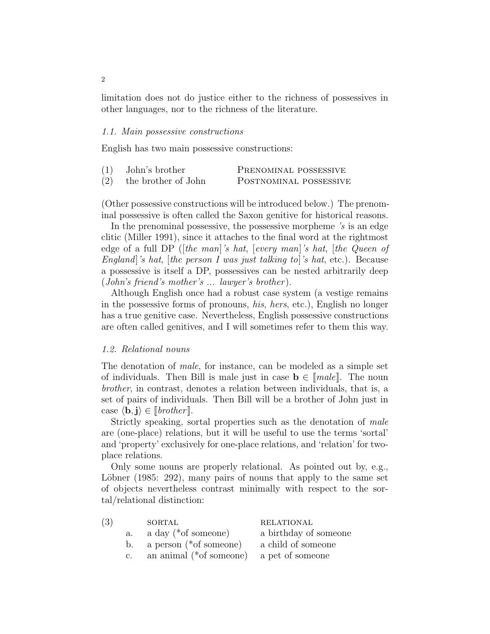limitation does not do justice either to the richness of possessives in other languages, nor to the richness of the literature.

#### 1.1. Main possessive constructions

English has two main possessive constructions:

|     | John's brother      | PRENOMINAL POSSESSIVE  |
|-----|---------------------|------------------------|
| (2) | the brother of John | POSTNOMINAL POSSESSIVE |

(Other possessive constructions will be introduced below.) The prenominal possessive is often called the Saxon genitive for historical reasons.

In the prenominal possessive, the possessive morpheme 's is an edge clitic (Miller 1991), since it attaches to the final word at the rightmost edge of a full DP ([the man]'s hat, [every man]'s hat, [the Queen of England s hat, the person I was just talking to s hat, etc.). Because a possessive is itself a DP, possessives can be nested arbitrarily deep (John's friend's mother's ... lawyer's brother ).

Although English once had a robust case system (a vestige remains in the possessive forms of pronouns, his, hers, etc.), English no longer has a true genitive case. Nevertheless, English possessive constructions are often called genitives, and I will sometimes refer to them this way.

#### 1.2. Relational nouns

The denotation of male, for instance, can be modeled as a simple set of individuals. Then Bill is male just in case  $\mathbf{b} \in [male]$ . The noun brother, in contrast, denotes a relation between individuals, that is, a set of pairs of individuals. Then Bill will be a brother of John just in case  $\langle \mathbf{b}, \mathbf{j} \rangle \in [\![brother]\!].$ 

Strictly speaking, sortal properties such as the denotation of male are (one-place) relations, but it will be useful to use the terms 'sortal' and 'property' exclusively for one-place relations, and 'relation' for twoplace relations.

Only some nouns are properly relational. As pointed out by, e.g., Löbner (1985: 292), many pairs of nouns that apply to the same set of objects nevertheless contrast minimally with respect to the sortal/relational distinction:

| (3) |             | SORTAL                     | <b>RELATIONAL</b>     |
|-----|-------------|----------------------------|-----------------------|
|     | a.          | a day (*of someone)        | a birthday of someone |
|     | b.          | a person (*of someone)     | a child of someone    |
|     | $c_{\cdot}$ | an animal $(*of some one)$ | a pet of someone      |
|     |             |                            |                       |

2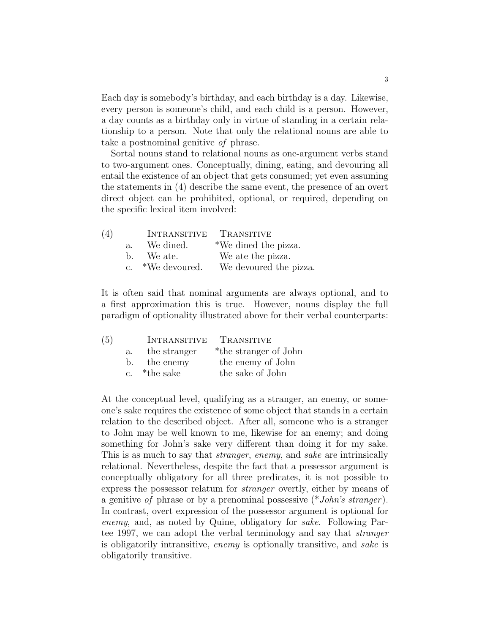Each day is somebody's birthday, and each birthday is a day. Likewise, every person is someone's child, and each child is a person. However, a day counts as a birthday only in virtue of standing in a certain relationship to a person. Note that only the relational nouns are able to take a postnominal genitive of phrase.

Sortal nouns stand to relational nouns as one-argument verbs stand to two-argument ones. Conceptually, dining, eating, and devouring all entail the existence of an object that gets consumed; yet even assuming the statements in (4) describe the same event, the presence of an overt direct object can be prohibited, optional, or required, depending on the specific lexical item involved:

| (4) |                | INTRANSITIVE  | <b>TRANSITIVE</b>      |
|-----|----------------|---------------|------------------------|
|     | $a_{\cdot}$    | We dined.     | *We dined the pizza.   |
|     | h.             | We ate.       | We ate the pizza.      |
|     | C <sub>1</sub> | *We devoured. | We devoured the pizza. |
|     |                |               |                        |

It is often said that nominal arguments are always optional, and to a first approximation this is true. However, nouns display the full paradigm of optionality illustrated above for their verbal counterparts:

| (5) |             | <b>INTRANSITIVE</b> | <b>TRANSITIVE</b>     |
|-----|-------------|---------------------|-----------------------|
|     | а.          | the stranger        | *the stranger of John |
|     | b.          | the enemy           | the enemy of John     |
|     | $c_{\cdot}$ | *the sake           | the sake of John      |

At the conceptual level, qualifying as a stranger, an enemy, or someone's sake requires the existence of some object that stands in a certain relation to the described object. After all, someone who is a stranger to John may be well known to me, likewise for an enemy; and doing something for John's sake very different than doing it for my sake. This is as much to say that stranger, enemy, and sake are intrinsically relational. Nevertheless, despite the fact that a possessor argument is conceptually obligatory for all three predicates, it is not possible to express the possessor relatum for stranger overtly, either by means of a genitive of phrase or by a prenominal possessive  $(**John's stranger*).$ In contrast, overt expression of the possessor argument is optional for enemy, and, as noted by Quine, obligatory for sake. Following Partee 1997, we can adopt the verbal terminology and say that stranger is obligatorily intransitive, enemy is optionally transitive, and sake is obligatorily transitive.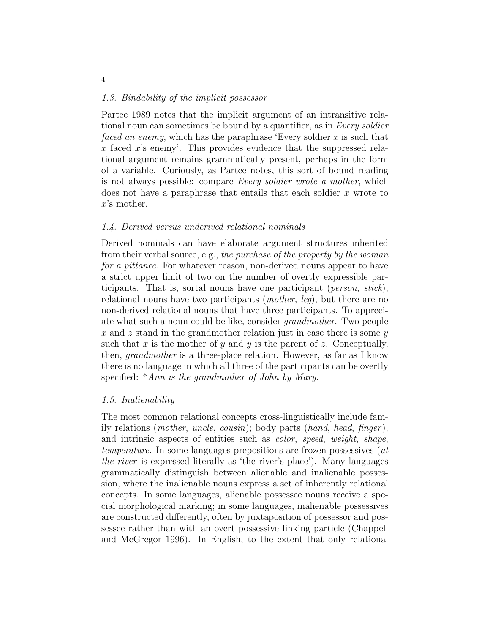### 1.3. Bindability of the implicit possessor

Partee 1989 notes that the implicit argument of an intransitive relational noun can sometimes be bound by a quantifier, as in Every soldier faced an enemy, which has the paraphrase 'Every soldier x is such that x faced x's enemy'. This provides evidence that the suppressed relational argument remains grammatically present, perhaps in the form of a variable. Curiously, as Partee notes, this sort of bound reading is not always possible: compare Every soldier wrote a mother, which does not have a paraphrase that entails that each soldier  $x$  wrote to x's mother.

# 1.4. Derived versus underived relational nominals

Derived nominals can have elaborate argument structures inherited from their verbal source, e.g., the purchase of the property by the woman for a pittance. For whatever reason, non-derived nouns appear to have a strict upper limit of two on the number of overtly expressible participants. That is, sortal nouns have one participant (person, stick), relational nouns have two participants (mother, leg), but there are no non-derived relational nouns that have three participants. To appreciate what such a noun could be like, consider grandmother. Two people x and z stand in the grandmother relation just in case there is some  $y$ such that x is the mother of y and y is the parent of z. Conceptually, then, grandmother is a three-place relation. However, as far as I know there is no language in which all three of the participants can be overtly specified: \*Ann is the grandmother of John by Mary.

#### 1.5. Inalienability

The most common relational concepts cross-linguistically include family relations (mother, uncle, cousin); body parts (hand, head, finger ); and intrinsic aspects of entities such as color, speed, weight, shape, temperature. In some languages prepositions are frozen possessives (at the river is expressed literally as 'the river's place'). Many languages grammatically distinguish between alienable and inalienable possession, where the inalienable nouns express a set of inherently relational concepts. In some languages, alienable possessee nouns receive a special morphological marking; in some languages, inalienable possessives are constructed differently, often by juxtaposition of possessor and possessee rather than with an overt possessive linking particle (Chappell and McGregor 1996). In English, to the extent that only relational

4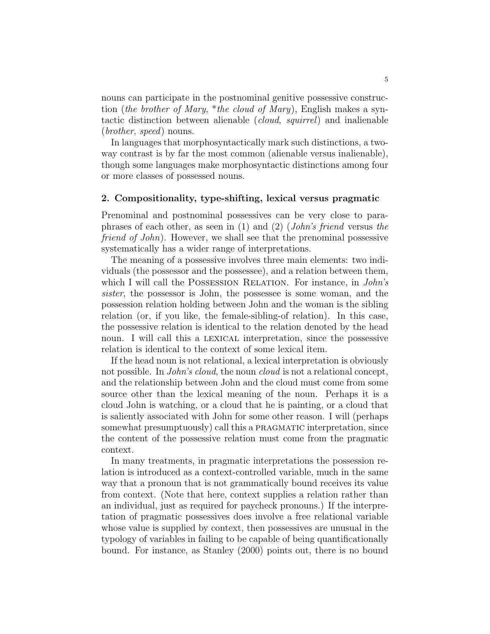nouns can participate in the postnominal genitive possessive construction (the brother of Mary, \*the cloud of Mary), English makes a syntactic distinction between alienable (cloud, squirrel) and inalienable (brother, speed) nouns.

In languages that morphosyntactically mark such distinctions, a twoway contrast is by far the most common (alienable versus inalienable), though some languages make morphosyntactic distinctions among four or more classes of possessed nouns.

### 2. Compositionality, type-shifting, lexical versus pragmatic

Prenominal and postnominal possessives can be very close to paraphrases of each other, as seen in  $(1)$  and  $(2)$  (John's friend versus the friend of John). However, we shall see that the prenominal possessive systematically has a wider range of interpretations.

The meaning of a possessive involves three main elements: two individuals (the possessor and the possessee), and a relation between them, which I will call the POSSESSION RELATION. For instance, in *John's* sister, the possessor is John, the possessee is some woman, and the possession relation holding between John and the woman is the sibling relation (or, if you like, the female-sibling-of relation). In this case, the possessive relation is identical to the relation denoted by the head noun. I will call this a LEXICAL interpretation, since the possessive relation is identical to the context of some lexical item.

If the head noun is not relational, a lexical interpretation is obviously not possible. In *John's cloud*, the noun *cloud* is not a relational concept, and the relationship between John and the cloud must come from some source other than the lexical meaning of the noun. Perhaps it is a cloud John is watching, or a cloud that he is painting, or a cloud that is saliently associated with John for some other reason. I will (perhaps somewhat presumptuously) call this a PRAGMATIC interpretation, since the content of the possessive relation must come from the pragmatic context.

In many treatments, in pragmatic interpretations the possession relation is introduced as a context-controlled variable, much in the same way that a pronoun that is not grammatically bound receives its value from context. (Note that here, context supplies a relation rather than an individual, just as required for paycheck pronouns.) If the interpretation of pragmatic possessives does involve a free relational variable whose value is supplied by context, then possessives are unusual in the typology of variables in failing to be capable of being quantificationally bound. For instance, as Stanley (2000) points out, there is no bound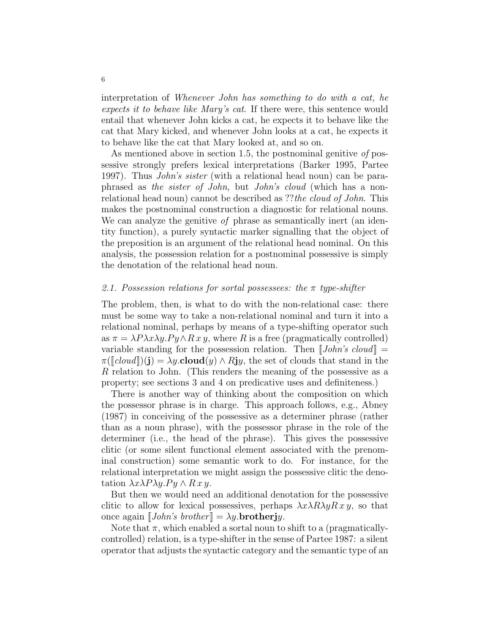interpretation of Whenever John has something to do with a cat, he expects it to behave like Mary's cat. If there were, this sentence would entail that whenever John kicks a cat, he expects it to behave like the cat that Mary kicked, and whenever John looks at a cat, he expects it to behave like the cat that Mary looked at, and so on.

As mentioned above in section 1.5, the postnominal genitive of possessive strongly prefers lexical interpretations (Barker 1995, Partee 1997). Thus John's sister (with a relational head noun) can be paraphrased as the sister of John, but John's cloud (which has a nonrelational head noun) cannot be described as ??*the cloud of John*. This makes the postnominal construction a diagnostic for relational nouns. We can analyze the genitive of phrase as semantically inert (an identity function), a purely syntactic marker signalling that the object of the preposition is an argument of the relational head nominal. On this analysis, the possession relation for a postnominal possessive is simply the denotation of the relational head noun.

# 2.1. Possession relations for sortal possessees: the  $\pi$  type-shifter

The problem, then, is what to do with the non-relational case: there must be some way to take a non-relational nominal and turn it into a relational nominal, perhaps by means of a type-shifting operator such as  $\pi = \lambda P \lambda x \lambda y \cdot Py \wedge R x y$ , where R is a free (pragmatically controlled) variable standing for the possession relation. Then  $\llbracket John's \; cloud \rrbracket =$  $\pi([cloud])(\mathbf{j}) = \lambda y$ .cloud $(y) \wedge R\mathbf{j}y$ , the set of clouds that stand in the R relation to John. (This renders the meaning of the possessive as a property; see sections 3 and 4 on predicative uses and definiteness.)

There is another way of thinking about the composition on which the possessor phrase is in charge. This approach follows, e.g., Abney (1987) in conceiving of the possessive as a determiner phrase (rather than as a noun phrase), with the possessor phrase in the role of the determiner (i.e., the head of the phrase). This gives the possessive clitic (or some silent functional element associated with the prenominal construction) some semantic work to do. For instance, for the relational interpretation we might assign the possessive clitic the denotation  $\lambda x \lambda P \lambda y.P y \wedge R x y$ .

But then we would need an additional denotation for the possessive clitic to allow for lexical possessives, perhaps  $\lambda x \lambda R \lambda y R x y$ , so that once again  $\llbracket John's brother \rrbracket = \lambda y.$ **brotherj**y.

Note that  $\pi$ , which enabled a sortal noun to shift to a (pragmaticallycontrolled) relation, is a type-shifter in the sense of Partee 1987: a silent operator that adjusts the syntactic category and the semantic type of an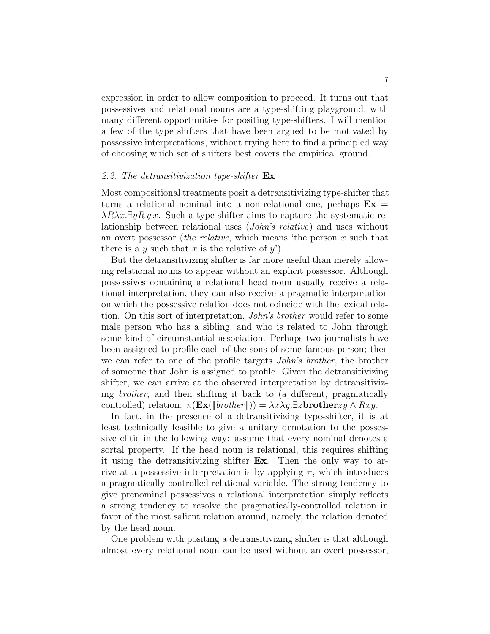expression in order to allow composition to proceed. It turns out that possessives and relational nouns are a type-shifting playground, with many different opportunities for positing type-shifters. I will mention a few of the type shifters that have been argued to be motivated by possessive interpretations, without trying here to find a principled way of choosing which set of shifters best covers the empirical ground.

#### 2.2. The detransitivization type-shifter  $\mathbf{Ex}$

Most compositional treatments posit a detransitivizing type-shifter that turns a relational nominal into a non-relational one, perhaps  $\mathbf{Ex} =$  $\lambda R\lambda x.\exists yR y x$ . Such a type-shifter aims to capture the systematic relationship between relational uses (John's relative) and uses without an overt possessor (*the relative*, which means 'the person  $x$  such that there is a y such that x is the relative of  $y'$ ).

But the detransitivizing shifter is far more useful than merely allowing relational nouns to appear without an explicit possessor. Although possessives containing a relational head noun usually receive a relational interpretation, they can also receive a pragmatic interpretation on which the possessive relation does not coincide with the lexical relation. On this sort of interpretation, John's brother would refer to some male person who has a sibling, and who is related to John through some kind of circumstantial association. Perhaps two journalists have been assigned to profile each of the sons of some famous person; then we can refer to one of the profile targets *John's brother*, the brother of someone that John is assigned to profile. Given the detransitivizing shifter, we can arrive at the observed interpretation by detransitivizing brother, and then shifting it back to (a different, pragmatically controlled) relation:  $\pi(\mathbf{Ex}(\llbracket brother \rrbracket)) = \lambda x \lambda y. \exists z \mathbf{brother} zy \wedge Rxy.$ 

In fact, in the presence of a detransitivizing type-shifter, it is at least technically feasible to give a unitary denotation to the possessive clitic in the following way: assume that every nominal denotes a sortal property. If the head noun is relational, this requires shifting it using the detransitivizing shifter Ex. Then the only way to arrive at a possessive interpretation is by applying  $\pi$ , which introduces a pragmatically-controlled relational variable. The strong tendency to give prenominal possessives a relational interpretation simply reflects a strong tendency to resolve the pragmatically-controlled relation in favor of the most salient relation around, namely, the relation denoted by the head noun.

One problem with positing a detransitivizing shifter is that although almost every relational noun can be used without an overt possessor,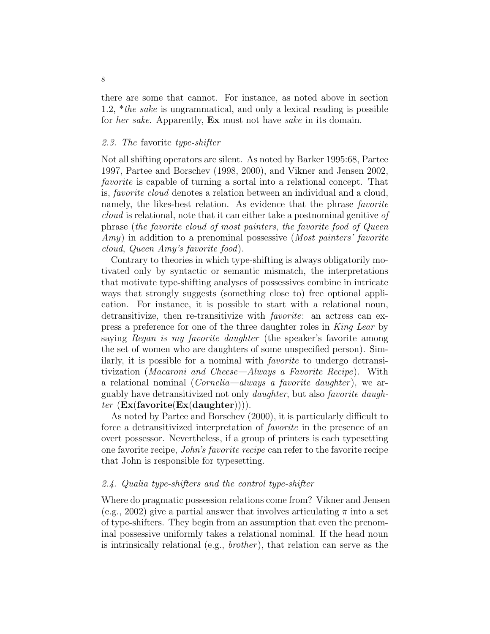there are some that cannot. For instance, as noted above in section 1.2, \*the sake is ungrammatical, and only a lexical reading is possible for her sake. Apparently, **Ex** must not have sake in its domain.

### 2.3. The favorite type-shifter

Not all shifting operators are silent. As noted by Barker 1995:68, Partee 1997, Partee and Borschev (1998, 2000), and Vikner and Jensen 2002, favorite is capable of turning a sortal into a relational concept. That is, favorite cloud denotes a relation between an individual and a cloud, namely, the likes-best relation. As evidence that the phrase *favorite* cloud is relational, note that it can either take a postnominal genitive of phrase (the favorite cloud of most painters, the favorite food of Queen Amy) in addition to a prenominal possessive (*Most painters' favorite* cloud, Queen Amy's favorite food).

Contrary to theories in which type-shifting is always obligatorily motivated only by syntactic or semantic mismatch, the interpretations that motivate type-shifting analyses of possessives combine in intricate ways that strongly suggests (something close to) free optional application. For instance, it is possible to start with a relational noun, detransitivize, then re-transitivize with *favorite*: an actress can express a preference for one of the three daughter roles in King Lear by saying Regan is my favorite daughter (the speaker's favorite among the set of women who are daughters of some unspecified person). Similarly, it is possible for a nominal with favorite to undergo detransitivization (Macaroni and Cheese—Always a Favorite Recipe). With a relational nominal (*Cornelia—always a favorite daughter*), we arguably have detransitivized not only daughter, but also favorite daughter  $(Ex(favorite(Ex(daughter))))$ .

As noted by Partee and Borschev (2000), it is particularly difficult to force a detransitivized interpretation of favorite in the presence of an overt possessor. Nevertheless, if a group of printers is each typesetting one favorite recipe, John's favorite recipe can refer to the favorite recipe that John is responsible for typesetting.

#### 2.4. Qualia type-shifters and the control type-shifter

Where do pragmatic possession relations come from? Vikner and Jensen (e.g., 2002) give a partial answer that involves articulating  $\pi$  into a set of type-shifters. They begin from an assumption that even the prenominal possessive uniformly takes a relational nominal. If the head noun is intrinsically relational (e.g., brother ), that relation can serve as the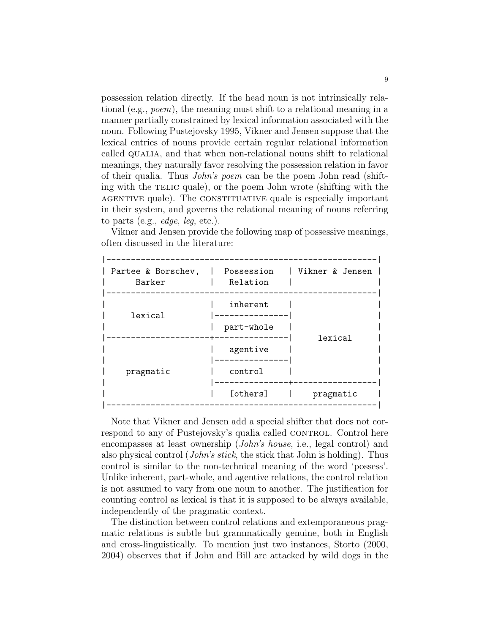possession relation directly. If the head noun is not intrinsically relational (e.g., poem), the meaning must shift to a relational meaning in a manner partially constrained by lexical information associated with the noun. Following Pustejovsky 1995, Vikner and Jensen suppose that the lexical entries of nouns provide certain regular relational information called QUALIA, and that when non-relational nouns shift to relational meanings, they naturally favor resolving the possession relation in favor of their qualia. Thus John's poem can be the poem John read (shifting with the TELIC quale), or the poem John wrote (shifting with the AGENTIVE quale). The CONSTITUATIVE quale is especially important in their system, and governs the relational meaning of nouns referring to parts (e.g., edge, leg, etc.).

Vikner and Jensen provide the following map of possessive meanings, often discussed in the literature:

| Partee & Borschev,<br>Barker | Possession<br>Relation | Vikner & Jensen |  |
|------------------------------|------------------------|-----------------|--|
| lexical                      | inherent               | lexical         |  |
|                              | part-whole             |                 |  |
|                              | agentive               |                 |  |
| pragmatic                    | control                |                 |  |
|                              | [others]               | pragmatic       |  |
|                              |                        |                 |  |

Note that Vikner and Jensen add a special shifter that does not correspond to any of Pustejovsky's qualia called CONTROL. Control here encompasses at least ownership (John's house, i.e., legal control) and also physical control (John's stick, the stick that John is holding). Thus control is similar to the non-technical meaning of the word 'possess'. Unlike inherent, part-whole, and agentive relations, the control relation is not assumed to vary from one noun to another. The justification for counting control as lexical is that it is supposed to be always available, independently of the pragmatic context.

The distinction between control relations and extemporaneous pragmatic relations is subtle but grammatically genuine, both in English and cross-linguistically. To mention just two instances, Storto (2000, 2004) observes that if John and Bill are attacked by wild dogs in the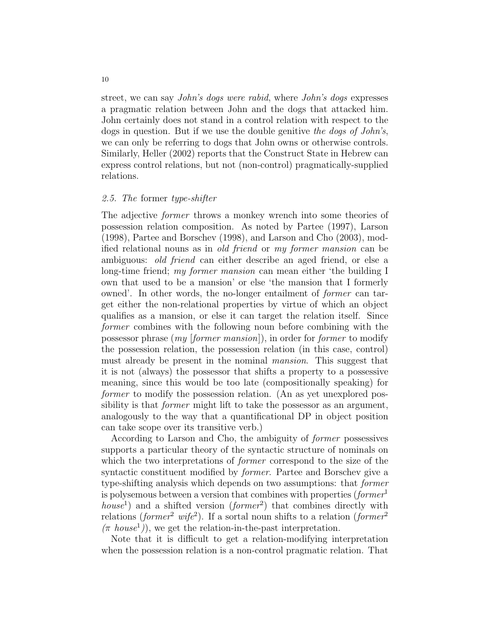street, we can say John's dogs were rabid, where John's dogs expresses a pragmatic relation between John and the dogs that attacked him. John certainly does not stand in a control relation with respect to the dogs in question. But if we use the double genitive the dogs of John's, we can only be referring to dogs that John owns or otherwise controls. Similarly, Heller (2002) reports that the Construct State in Hebrew can express control relations, but not (non-control) pragmatically-supplied relations.

#### 2.5. The former type-shifter

The adjective former throws a monkey wrench into some theories of possession relation composition. As noted by Partee (1997), Larson (1998), Partee and Borschev (1998), and Larson and Cho (2003), modified relational nouns as in old friend or my former mansion can be ambiguous: old friend can either describe an aged friend, or else a long-time friend; my former mansion can mean either 'the building I own that used to be a mansion' or else 'the mansion that I formerly owned'. In other words, the no-longer entailment of former can target either the non-relational properties by virtue of which an object qualifies as a mansion, or else it can target the relation itself. Since former combines with the following noun before combining with the possessor phrase (my [former mansion]), in order for former to modify the possession relation, the possession relation (in this case, control) must already be present in the nominal mansion. This suggest that it is not (always) the possessor that shifts a property to a possessive meaning, since this would be too late (compositionally speaking) for former to modify the possession relation. (An as yet unexplored possibility is that *former* might lift to take the possessor as an argument, analogously to the way that a quantificational DP in object position can take scope over its transitive verb.)

According to Larson and Cho, the ambiguity of former possessives supports a particular theory of the syntactic structure of nominals on which the two interpretations of *former* correspond to the size of the syntactic constituent modified by former. Partee and Borschev give a type-shifting analysis which depends on two assumptions: that former is polysemous between a version that combines with properties (*former*<sup>1</sup> house<sup>1</sup>) and a shifted version (former<sup>2</sup>) that combines directly with relations (former<sup>2</sup> wife<sup>2</sup>). If a sortal noun shifts to a relation (former<sup>2</sup>  $(\pi \; house^1)$ , we get the relation-in-the-past interpretation.

Note that it is difficult to get a relation-modifying interpretation when the possession relation is a non-control pragmatic relation. That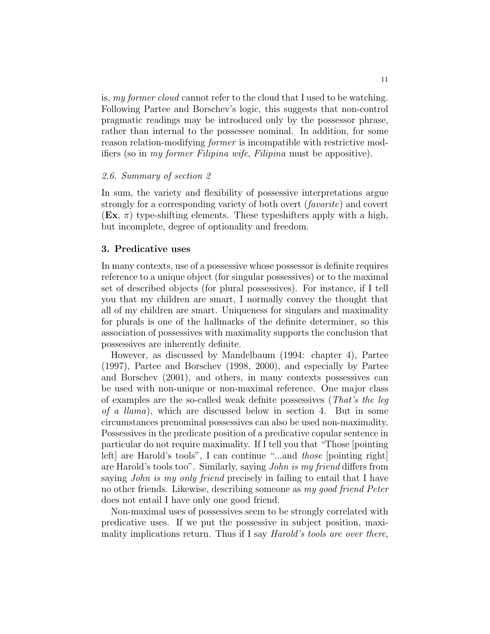is, my former cloud cannot refer to the cloud that I used to be watching. Following Partee and Borschev's logic, this suggests that non-control pragmatic readings may be introduced only by the possessor phrase, rather than internal to the possessee nominal. In addition, for some reason relation-modifying former is incompatible with restrictive modifiers (so in my former Filipina wife, Filipina must be appositive).

# 2.6. Summary of section 2

In sum, the variety and flexibility of possessive interpretations argue strongly for a corresponding variety of both overt (favorite) and covert  $(\mathbf{Ex}, \pi)$  type-shifting elements. These typeshifters apply with a high, but incomplete, degree of optionality and freedom.

#### 3. Predicative uses

In many contexts, use of a possessive whose possessor is definite requires reference to a unique object (for singular possessives) or to the maximal set of described objects (for plural possessives). For instance, if I tell you that my children are smart, I normally convey the thought that all of my children are smart. Uniqueness for singulars and maximality for plurals is one of the hallmarks of the definite determiner, so this association of possessives with maximality supports the conclusion that possessives are inherently definite.

However, as discussed by Mandelbaum (1994: chapter 4), Partee (1997), Partee and Borschev (1998, 2000), and especially by Partee and Borschev (2001), and others, in many contexts possessives can be used with non-unique or non-maximal reference. One major class of examples are the so-called weak defnite possessives (That's the leg of a llama), which are discussed below in section 4. But in some circumstances prenominal possessives can also be used non-maximality. Possessives in the predicate position of a predicative copular sentence in particular do not require maximality. If I tell you that "Those [pointing left] are Harold's tools", I can continue "...and those [pointing right] are Harold's tools too". Similarly, saying John is my friend differs from saying *John is my only friend* precisely in failing to entail that I have no other friends. Likewise, describing someone as my good friend Peter does not entail I have only one good friend.

Non-maximal uses of possessives seem to be strongly correlated with predicative uses. If we put the possessive in subject position, maximality implications return. Thus if I say *Harold's tools are over there*,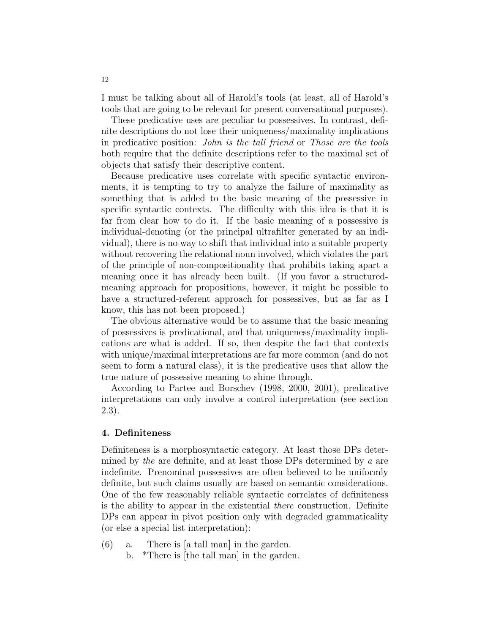I must be talking about all of Harold's tools (at least, all of Harold's tools that are going to be relevant for present conversational purposes).

These predicative uses are peculiar to possessives. In contrast, definite descriptions do not lose their uniqueness/maximality implications in predicative position: John is the tall friend or Those are the tools both require that the definite descriptions refer to the maximal set of objects that satisfy their descriptive content.

Because predicative uses correlate with specific syntactic environments, it is tempting to try to analyze the failure of maximality as something that is added to the basic meaning of the possessive in specific syntactic contexts. The difficulty with this idea is that it is far from clear how to do it. If the basic meaning of a possessive is individual-denoting (or the principal ultrafilter generated by an individual), there is no way to shift that individual into a suitable property without recovering the relational noun involved, which violates the part of the principle of non-compositionality that prohibits taking apart a meaning once it has already been built. (If you favor a structuredmeaning approach for propositions, however, it might be possible to have a structured-referent approach for possessives, but as far as I know, this has not been proposed.)

The obvious alternative would be to assume that the basic meaning of possessives is predicational, and that uniqueness/maximality implications are what is added. If so, then despite the fact that contexts with unique/maximal interpretations are far more common (and do not seem to form a natural class), it is the predicative uses that allow the true nature of possessive meaning to shine through.

According to Partee and Borschev (1998, 2000, 2001), predicative interpretations can only involve a control interpretation (see section 2.3).

#### 4. Definiteness

Definiteness is a morphosyntactic category. At least those DPs determined by the are definite, and at least those DPs determined by a are indefinite. Prenominal possessives are often believed to be uniformly definite, but such claims usually are based on semantic considerations. One of the few reasonably reliable syntactic correlates of definiteness is the ability to appear in the existential there construction. Definite DPs can appear in pivot position only with degraded grammaticality (or else a special list interpretation):

- (6) a. There is [a tall man] in the garden.
	- b. \*There is [the tall man] in the garden.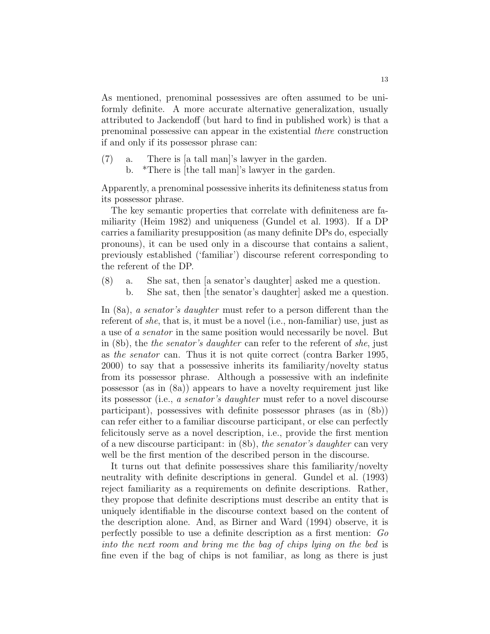As mentioned, prenominal possessives are often assumed to be uniformly definite. A more accurate alternative generalization, usually attributed to Jackendoff (but hard to find in published work) is that a prenominal possessive can appear in the existential there construction if and only if its possessor phrase can:

- (7) a. There is [a tall man]'s lawyer in the garden.
	- b. \*There is [the tall man]'s lawyer in the garden.

Apparently, a prenominal possessive inherits its definiteness status from its possessor phrase.

The key semantic properties that correlate with definiteness are familiarity (Heim 1982) and uniqueness (Gundel et al. 1993). If a DP carries a familiarity presupposition (as many definite DPs do, especially pronouns), it can be used only in a discourse that contains a salient, previously established ('familiar') discourse referent corresponding to the referent of the DP.

- (8) a. She sat, then [a senator's daughter] asked me a question.
	- b. She sat, then [the senator's daughter] asked me a question.

In (8a), a senator's daughter must refer to a person different than the referent of she, that is, it must be a novel (i.e., non-familiar) use, just as a use of a senator in the same position would necessarily be novel. But in (8b), the the senator's daughter can refer to the referent of she, just as the senator can. Thus it is not quite correct (contra Barker 1995, 2000) to say that a possessive inherits its familiarity/novelty status from its possessor phrase. Although a possessive with an indefinite possessor (as in (8a)) appears to have a novelty requirement just like its possessor (i.e., a senator's daughter must refer to a novel discourse participant), possessives with definite possessor phrases (as in (8b)) can refer either to a familiar discourse participant, or else can perfectly felicitously serve as a novel description, i.e., provide the first mention of a new discourse participant: in (8b), the senator's daughter can very well be the first mention of the described person in the discourse.

It turns out that definite possessives share this familiarity/novelty neutrality with definite descriptions in general. Gundel et al. (1993) reject familiarity as a requirements on definite descriptions. Rather, they propose that definite descriptions must describe an entity that is uniquely identifiable in the discourse context based on the content of the description alone. And, as Birner and Ward (1994) observe, it is perfectly possible to use a definite description as a first mention: Go into the next room and bring me the bag of chips lying on the bed is fine even if the bag of chips is not familiar, as long as there is just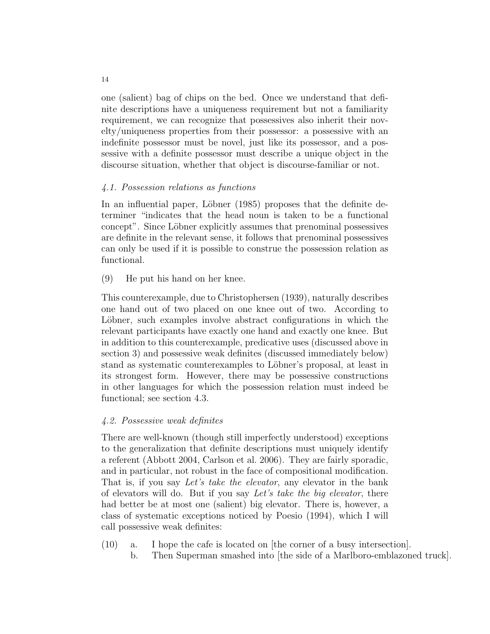one (salient) bag of chips on the bed. Once we understand that definite descriptions have a uniqueness requirement but not a familiarity requirement, we can recognize that possessives also inherit their novelty/uniqueness properties from their possessor: a possessive with an indefinite possessor must be novel, just like its possessor, and a possessive with a definite possessor must describe a unique object in the discourse situation, whether that object is discourse-familiar or not.

# 4.1. Possession relations as functions

In an influential paper, Löbner  $(1985)$  proposes that the definite determiner "indicates that the head noun is taken to be a functional concept". Since Löbner explicitly assumes that prenominal possessives are definite in the relevant sense, it follows that prenominal possessives can only be used if it is possible to construe the possession relation as functional.

(9) He put his hand on her knee.

This counterexample, due to Christophersen (1939), naturally describes one hand out of two placed on one knee out of two. According to Löbner, such examples involve abstract configurations in which the relevant participants have exactly one hand and exactly one knee. But in addition to this counterexample, predicative uses (discussed above in section 3) and possessive weak definites (discussed immediately below) stand as systematic counterexamples to Löbner's proposal, at least in its strongest form. However, there may be possessive constructions in other languages for which the possession relation must indeed be functional; see section 4.3.

# 4.2. Possessive weak definites

There are well-known (though still imperfectly understood) exceptions to the generalization that definite descriptions must uniquely identify a referent (Abbott 2004, Carlson et al. 2006). They are fairly sporadic, and in particular, not robust in the face of compositional modification. That is, if you say Let's take the elevator, any elevator in the bank of elevators will do. But if you say Let's take the big elevator, there had better be at most one (salient) big elevator. There is, however, a class of systematic exceptions noticed by Poesio (1994), which I will call possessive weak definites:

(10) a. I hope the cafe is located on [the corner of a busy intersection]. b. Then Superman smashed into [the side of a Marlboro-emblazoned truck].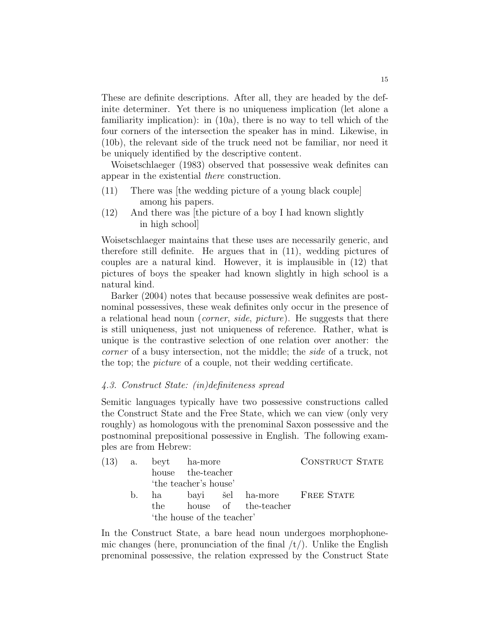These are definite descriptions. After all, they are headed by the definite determiner. Yet there is no uniqueness implication (let alone a familiarity implication): in (10a), there is no way to tell which of the four corners of the intersection the speaker has in mind. Likewise, in (10b), the relevant side of the truck need not be familiar, nor need it be uniquely identified by the descriptive content.

Woisetschlaeger (1983) observed that possessive weak definites can appear in the existential there construction.

- (11) There was [the wedding picture of a young black couple] among his papers.
- (12) And there was [the picture of a boy I had known slightly in high school]

Woisetschlaeger maintains that these uses are necessarily generic, and therefore still definite. He argues that in (11), wedding pictures of couples are a natural kind. However, it is implausible in (12) that pictures of boys the speaker had known slightly in high school is a natural kind.

Barker (2004) notes that because possessive weak definites are postnominal possessives, these weak definites only occur in the presence of a relational head noun (corner, side, picture). He suggests that there is still uniqueness, just not uniqueness of reference. Rather, what is unique is the contrastive selection of one relation over another: the corner of a busy intersection, not the middle; the side of a truck, not the top; the picture of a couple, not their wedding certificate.

# 4.3. Construct State: (in)definiteness spread

Semitic languages typically have two possessive constructions called the Construct State and the Free State, which we can view (only very roughly) as homologous with the prenominal Saxon possessive and the postnominal prepositional possessive in English. The following examples are from Hebrew:

|    | $(13)$ a. beyt ha-more     |  |                          | <b>CONSTRUCT STATE</b>         |
|----|----------------------------|--|--------------------------|--------------------------------|
|    | house the-teacher          |  |                          |                                |
|    | 'the teacher's house'      |  |                          |                                |
| b. |                            |  |                          | ha bayi šel ha-more FREE STATE |
|    |                            |  | the house of the-teacher |                                |
|    | 'the house of the teacher' |  |                          |                                |
|    |                            |  |                          |                                |

In the Construct State, a bare head noun undergoes morphophonemic changes (here, pronunciation of the final  $/t$ ). Unlike the English prenominal possessive, the relation expressed by the Construct State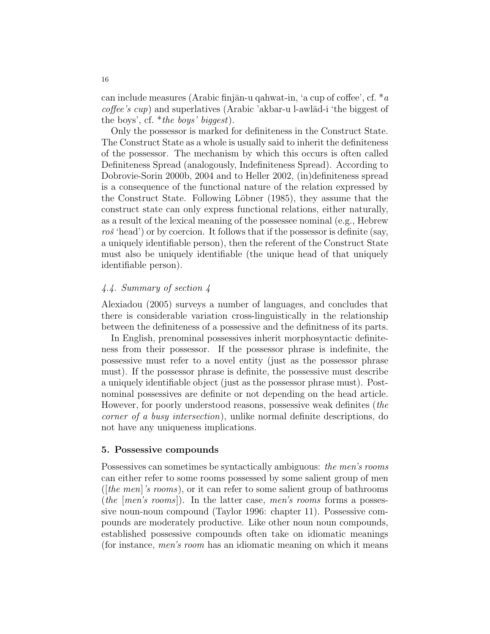can include measures (Arabic finjān-u qahwat-in, 'a cup of coffee', cf.  $a$  $\textit{cofree's cup}$ ) and superlatives (Arabic 'akbar-u l-awl $\bar{a}$ d-i 'the biggest of the boys', cf.  $*$ the boys' biggest).

Only the possessor is marked for definiteness in the Construct State. The Construct State as a whole is usually said to inherit the definiteness of the possessor. The mechanism by which this occurs is often called Definiteness Spread (analogously, Indefiniteness Spread). According to Dobrovie-Sorin 2000b, 2004 and to Heller 2002, (in)definiteness spread is a consequence of the functional nature of the relation expressed by the Construct State. Following Löbner (1985), they assume that the construct state can only express functional relations, either naturally, as a result of the lexical meaning of the possessee nominal (e.g., Hebrew  $r\alpha\check{s}$  'head') or by coercion. It follows that if the possessor is definite (say, a uniquely identifiable person), then the referent of the Construct State must also be uniquely identifiable (the unique head of that uniquely identifiable person).

# 4.4. Summary of section 4

Alexiadou (2005) surveys a number of languages, and concludes that there is considerable variation cross-linguistically in the relationship between the definiteness of a possessive and the definitness of its parts.

In English, prenominal possessives inherit morphosyntactic definiteness from their possessor. If the possessor phrase is indefinite, the possessive must refer to a novel entity (just as the possessor phrase must). If the possessor phrase is definite, the possessive must describe a uniquely identifiable object (just as the possessor phrase must). Postnominal possessives are definite or not depending on the head article. However, for poorly understood reasons, possessive weak definites (the corner of a busy intersection), unlike normal definite descriptions, do not have any uniqueness implications.

#### 5. Possessive compounds

Possessives can sometimes be syntactically ambiguous: the men's rooms can either refer to some rooms possessed by some salient group of men ([the men]'s rooms), or it can refer to some salient group of bathrooms (the  $[men's rooms]$ ). In the latter case, men's rooms forms a possessive noun-noun compound (Taylor 1996: chapter 11). Possessive compounds are moderately productive. Like other noun noun compounds, established possessive compounds often take on idiomatic meanings (for instance, men's room has an idiomatic meaning on which it means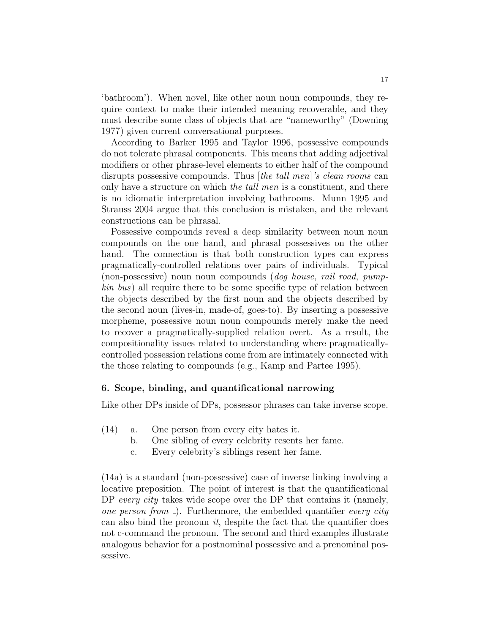'bathroom'). When novel, like other noun noun compounds, they require context to make their intended meaning recoverable, and they must describe some class of objects that are "nameworthy" (Downing 1977) given current conversational purposes.

According to Barker 1995 and Taylor 1996, possessive compounds do not tolerate phrasal components. This means that adding adjectival modifiers or other phrase-level elements to either half of the compound disrupts possessive compounds. Thus [the tall men]'s clean rooms can only have a structure on which the tall men is a constituent, and there is no idiomatic interpretation involving bathrooms. Munn 1995 and Strauss 2004 argue that this conclusion is mistaken, and the relevant constructions can be phrasal.

Possessive compounds reveal a deep similarity between noun noun compounds on the one hand, and phrasal possessives on the other hand. The connection is that both construction types can express pragmatically-controlled relations over pairs of individuals. Typical (non-possessive) noun noun compounds (dog house, rail road, pumpkin bus) all require there to be some specific type of relation between the objects described by the first noun and the objects described by the second noun (lives-in, made-of, goes-to). By inserting a possessive morpheme, possessive noun noun compounds merely make the need to recover a pragmatically-supplied relation overt. As a result, the compositionality issues related to understanding where pragmaticallycontrolled possession relations come from are intimately connected with the those relating to compounds (e.g., Kamp and Partee 1995).

#### 6. Scope, binding, and quantificational narrowing

Like other DPs inside of DPs, possessor phrases can take inverse scope.

- (14) a. One person from every city hates it.
	- b. One sibling of every celebrity resents her fame.
	- c. Every celebrity's siblings resent her fame.

(14a) is a standard (non-possessive) case of inverse linking involving a locative preposition. The point of interest is that the quantificational DP every city takes wide scope over the DP that contains it (namely, one person from  $\Box$ . Furthermore, the embedded quantifier every city can also bind the pronoun  $it$ , despite the fact that the quantifier does not c-command the pronoun. The second and third examples illustrate analogous behavior for a postnominal possessive and a prenominal possessive.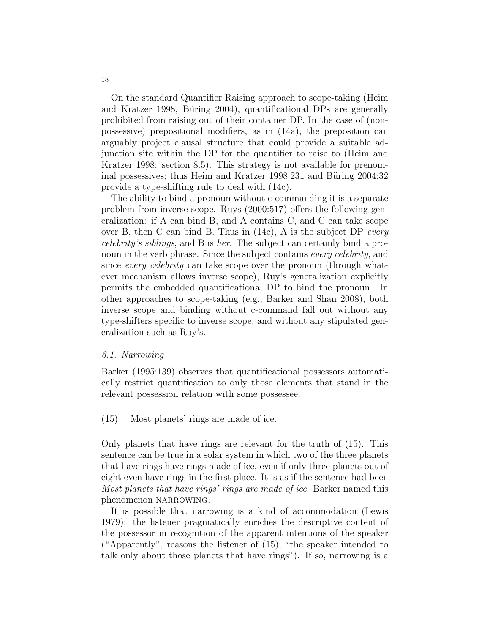On the standard Quantifier Raising approach to scope-taking (Heim and Kratzer 1998, Büring 2004), quantificational DPs are generally prohibited from raising out of their container DP. In the case of (nonpossessive) prepositional modifiers, as in (14a), the preposition can arguably project clausal structure that could provide a suitable adjunction site within the DP for the quantifier to raise to (Heim and Kratzer 1998: section 8.5). This strategy is not available for prenominal possessives; thus Heim and Kratzer 1998:231 and Büring 2004:32 provide a type-shifting rule to deal with (14c).

The ability to bind a pronoun without c-commanding it is a separate problem from inverse scope. Ruys (2000:517) offers the following generalization: if A can bind B, and A contains C, and C can take scope over B, then C can bind B. Thus in  $(14c)$ , A is the subject DP every celebrity's siblings, and B is her. The subject can certainly bind a pronoun in the verb phrase. Since the subject contains *every celebrity*, and since *every celebrity* can take scope over the pronoun (through whatever mechanism allows inverse scope), Ruy's generalization explicitly permits the embedded quantificational DP to bind the pronoun. In other approaches to scope-taking (e.g., Barker and Shan 2008), both inverse scope and binding without c-command fall out without any type-shifters specific to inverse scope, and without any stipulated generalization such as Ruy's.

#### 6.1. Narrowing

Barker (1995:139) observes that quantificational possessors automatically restrict quantification to only those elements that stand in the relevant possession relation with some possessee.

(15) Most planets' rings are made of ice.

Only planets that have rings are relevant for the truth of (15). This sentence can be true in a solar system in which two of the three planets that have rings have rings made of ice, even if only three planets out of eight even have rings in the first place. It is as if the sentence had been Most planets that have rings' rings are made of ice. Barker named this phenomenon NARROWING.

It is possible that narrowing is a kind of accommodation (Lewis 1979): the listener pragmatically enriches the descriptive content of the possessor in recognition of the apparent intentions of the speaker ("Apparently", reasons the listener of (15), "the speaker intended to talk only about those planets that have rings"). If so, narrowing is a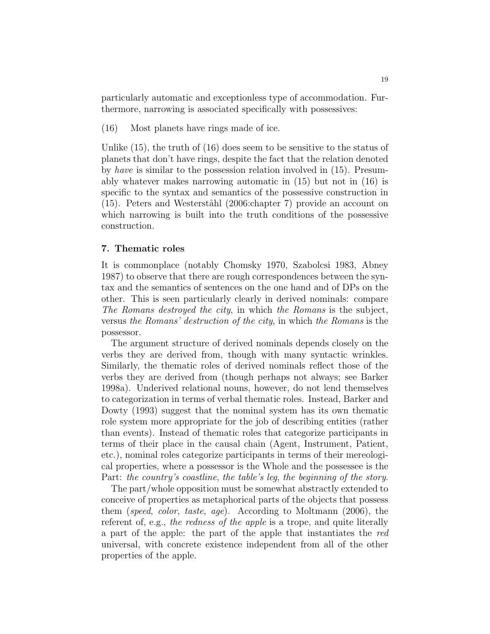particularly automatic and exceptionless type of accommodation. Furthermore, narrowing is associated specifically with possessives:

(16) Most planets have rings made of ice.

Unlike (15), the truth of (16) does seem to be sensitive to the status of planets that don't have rings, despite the fact that the relation denoted by have is similar to the possession relation involved in (15). Presumably whatever makes narrowing automatic in (15) but not in (16) is specific to the syntax and semantics of the possessive construction in  $(15)$ . Peters and Westerståhl  $(2006:$ chapter 7) provide an account on which narrowing is built into the truth conditions of the possessive construction.

# 7. Thematic roles

It is commonplace (notably Chomsky 1970, Szabolcsi 1983, Abney 1987) to observe that there are rough correspondences between the syntax and the semantics of sentences on the one hand and of DPs on the other. This is seen particularly clearly in derived nominals: compare The Romans destroyed the city, in which the Romans is the subject, versus the Romans' destruction of the city, in which the Romans is the possessor.

The argument structure of derived nominals depends closely on the verbs they are derived from, though with many syntactic wrinkles. Similarly, the thematic roles of derived nominals reflect those of the verbs they are derived from (though perhaps not always; see Barker 1998a). Underived relational nouns, however, do not lend themselves to categorization in terms of verbal thematic roles. Instead, Barker and Dowty (1993) suggest that the nominal system has its own thematic role system more appropriate for the job of describing entities (rather than events). Instead of thematic roles that categorize participants in terms of their place in the causal chain (Agent, Instrument, Patient, etc.), nominal roles categorize participants in terms of their mereological properties, where a possessor is the Whole and the possessee is the Part: the country's coastline, the table's leg, the beginning of the story.

The part/whole opposition must be somewhat abstractly extended to conceive of properties as metaphorical parts of the objects that possess them (speed, color, taste, age). According to Moltmann (2006), the referent of, e.g., the redness of the apple is a trope, and quite literally a part of the apple: the part of the apple that instantiates the red universal, with concrete existence independent from all of the other properties of the apple.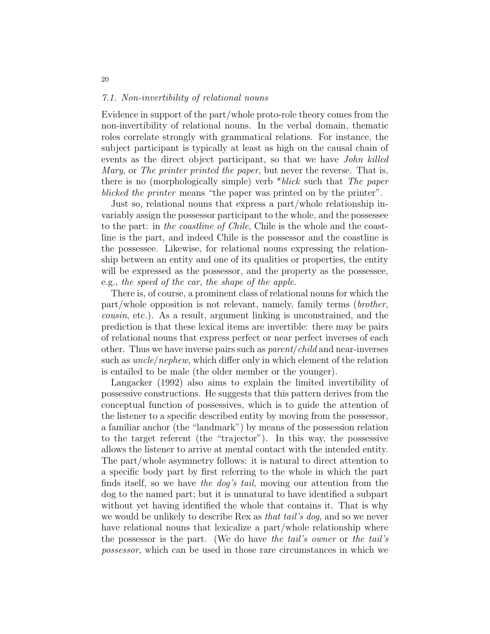#### 7.1. Non-invertibility of relational nouns

Evidence in support of the part/whole proto-role theory comes from the non-invertibility of relational nouns. In the verbal domain, thematic roles correlate strongly with grammatical relations. For instance, the subject participant is typically at least as high on the causal chain of events as the direct object participant, so that we have John killed Mary, or The printer printed the paper, but never the reverse. That is, there is no (morphologically simple) verb \*blick such that The paper blicked the printer means "the paper was printed on by the printer".

Just so, relational nouns that express a part/whole relationship invariably assign the possessor participant to the whole, and the possessee to the part: in the coastline of Chile, Chile is the whole and the coastline is the part, and indeed Chile is the possessor and the coastline is the possessee. Likewise, for relational nouns expressing the relationship between an entity and one of its qualities or properties, the entity will be expressed as the possessor, and the property as the possessee, e.g., the speed of the car, the shape of the apple.

There is, of course, a prominent class of relational nouns for which the part/whole opposition is not relevant, namely, family terms (brother, cousin, etc.). As a result, argument linking is unconstrained, and the prediction is that these lexical items are invertible: there may be pairs of relational nouns that express perfect or near perfect inverses of each other. Thus we have inverse pairs such as parent/child and near-inverses such as *uncle/nephew*, which differ only in which element of the relation is entailed to be male (the older member or the younger).

Langacker (1992) also aims to explain the limited invertibility of possessive constructions. He suggests that this pattern derives from the conceptual function of possessives, which is to guide the attention of the listener to a specific described entity by moving from the possessor, a familiar anchor (the "landmark") by means of the possession relation to the target referent (the "trajector"). In this way, the possessive allows the listener to arrive at mental contact with the intended entity. The part/whole asymmetry follows: it is natural to direct attention to a specific body part by first referring to the whole in which the part finds itself, so we have the dog's tail, moving our attention from the dog to the named part; but it is unnatural to have identified a subpart without yet having identified the whole that contains it. That is why we would be unlikely to describe Rex as that tail's dog, and so we never have relational nouns that lexicalize a part/whole relationship where the possessor is the part. (We do have the tail's owner or the tail's possessor, which can be used in those rare circumstances in which we

20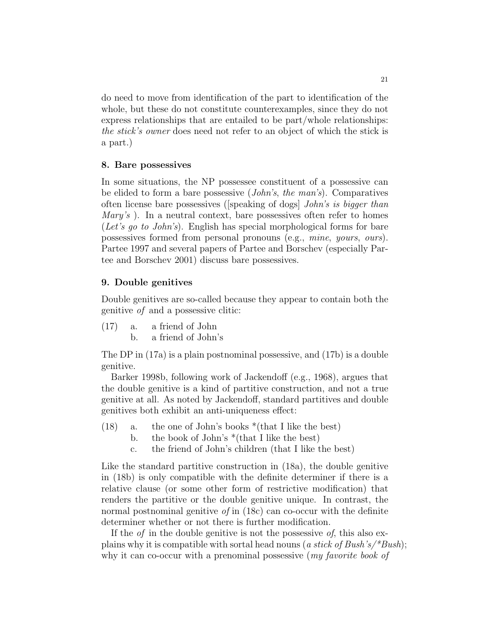do need to move from identification of the part to identification of the whole, but these do not constitute counterexamples, since they do not express relationships that are entailed to be part/whole relationships: the stick's owner does need not refer to an object of which the stick is a part.)

#### 8. Bare possessives

In some situations, the NP possessee constituent of a possessive can be elided to form a bare possessive (John's, the man's). Comparatives often license bare possessives ([speaking of dogs] John's is bigger than Mary's). In a neutral context, bare possessives often refer to homes (Let's go to John's). English has special morphological forms for bare possessives formed from personal pronouns (e.g., mine, yours, ours). Partee 1997 and several papers of Partee and Borschev (especially Partee and Borschev 2001) discuss bare possessives.

### 9. Double genitives

Double genitives are so-called because they appear to contain both the genitive of and a possessive clitic:

- (17) a. a friend of John
	- b. a friend of John's

The DP in (17a) is a plain postnominal possessive, and (17b) is a double genitive.

Barker 1998b, following work of Jackendoff (e.g., 1968), argues that the double genitive is a kind of partitive construction, and not a true genitive at all. As noted by Jackendoff, standard partitives and double genitives both exhibit an anti-uniqueness effect:

- (18) a. the one of John's books \*(that I like the best)
	- b. the book of John's  $*($ that I like the best)
	- c. the friend of John's children (that I like the best)

Like the standard partitive construction in (18a), the double genitive in (18b) is only compatible with the definite determiner if there is a relative clause (or some other form of restrictive modification) that renders the partitive or the double genitive unique. In contrast, the normal postnominal genitive  $of$  in  $(18c)$  can co-occur with the definite determiner whether or not there is further modification.

If the *of* in the double genitive is not the possessive *of*, this also explains why it is compatible with sortal head nouns (a stick of Bush's/\*Bush); why it can co-occur with a prenominal possessive (*my favorite book of*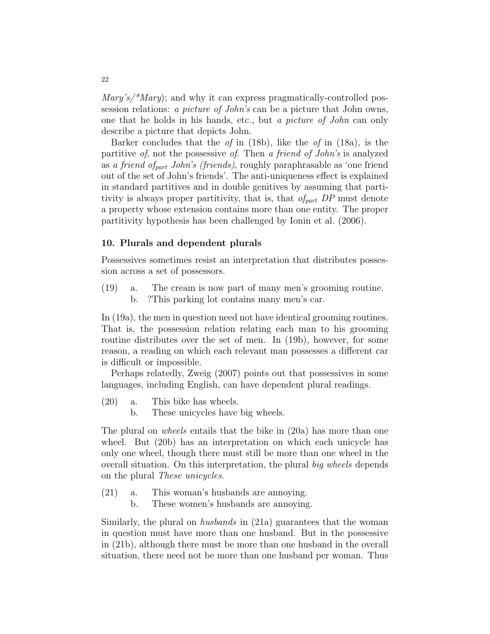$Mary's/*Mary$ ; and why it can express pragmatically-controlled possession relations: a picture of John's can be a picture that John owns, one that he holds in his hands, etc., but a picture of John can only describe a picture that depicts John.

Barker concludes that the *of* in  $(18b)$ , like the *of* in  $(18a)$ , is the partitive of, not the possessive of. Then a friend of John's is analyzed as a friend of  $\eta_{part}$  John's (friends), roughly paraphrasable as 'one friend out of the set of John's friends'. The anti-uniqueness effect is explained in standard partitives and in double genitives by assuming that partitivity is always proper partitivity, that is, that  $of_{part}$  DP must denote a property whose extension contains more than one entity. The proper partitivity hypothesis has been challenged by Ionin et al. (2006).

# 10. Plurals and dependent plurals

Possessives sometimes resist an interpretation that distributes possession across a set of possessors.

(19) a. The cream is now part of many men's grooming routine. b. ?This parking lot contains many men's car.

In (19a), the men in question need not have identical grooming routines. That is, the possession relation relating each man to his grooming routine distributes over the set of men. In (19b), however, for some reason, a reading on which each relevant man possesses a different car is difficult or impossible.

Perhaps relatedly, Zweig (2007) points out that possessives in some languages, including English, can have dependent plural readings.

- (20) a. This bike has wheels.
	- b. These unicycles have big wheels.

The plural on wheels entails that the bike in (20a) has more than one wheel. But (20b) has an interpretation on which each unicycle has only one wheel, though there must still be more than one wheel in the overall situation. On this interpretation, the plural big wheels depends on the plural These unicycles.

- (21) a. This woman's husbands are annoying.
	- b. These women's husbands are annoying.

Similarly, the plural on *husbands* in (21a) guarantees that the woman in question must have more than one husband. But in the possessive in (21b), although there must be more than one husband in the overall situation, there need not be more than one husband per woman. Thus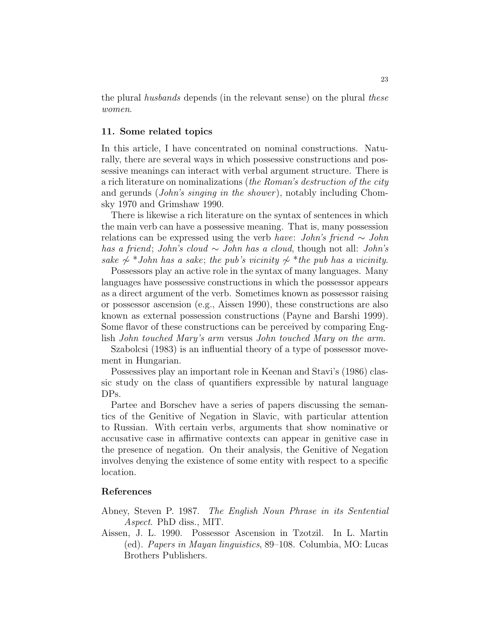the plural husbands depends (in the relevant sense) on the plural these women.

# 11. Some related topics

In this article, I have concentrated on nominal constructions. Naturally, there are several ways in which possessive constructions and possessive meanings can interact with verbal argument structure. There is a rich literature on nominalizations (the Roman's destruction of the city and gerunds (*John's singing in the shower*), notably including Chomsky 1970 and Grimshaw 1990.

There is likewise a rich literature on the syntax of sentences in which the main verb can have a possessive meaning. That is, many possession relations can be expressed using the verb have: John's friend  $\sim$  John has a friend; John's cloud ∼ John has a cloud, though not all: John's sake  $\sim$  \*John has a sake; the pub's vicinity  $\sim$  \*the pub has a vicinity.

Possessors play an active role in the syntax of many languages. Many languages have possessive constructions in which the possessor appears as a direct argument of the verb. Sometimes known as possessor raising or possessor ascension (e.g., Aissen 1990), these constructions are also known as external possession constructions (Payne and Barshi 1999). Some flavor of these constructions can be perceived by comparing English John touched Mary's arm versus John touched Mary on the arm.

Szabolcsi (1983) is an influential theory of a type of possessor movement in Hungarian.

Possessives play an important role in Keenan and Stavi's (1986) classic study on the class of quantifiers expressible by natural language DPs.

Partee and Borschev have a series of papers discussing the semantics of the Genitive of Negation in Slavic, with particular attention to Russian. With certain verbs, arguments that show nominative or accusative case in affirmative contexts can appear in genitive case in the presence of negation. On their analysis, the Genitive of Negation involves denying the existence of some entity with respect to a specific location.

#### References

Abney, Steven P. 1987. The English Noun Phrase in its Sentential Aspect. PhD diss., MIT.

Aissen, J. L. 1990. Possessor Ascension in Tzotzil. In L. Martin (ed). Papers in Mayan linguistics, 89–108. Columbia, MO: Lucas Brothers Publishers.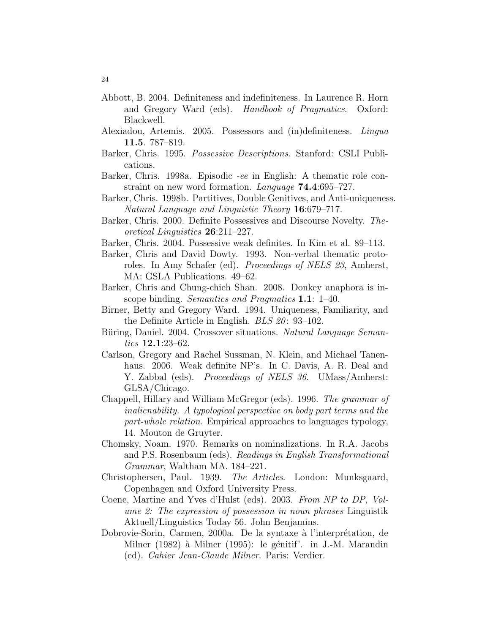- Abbott, B. 2004. Definiteness and indefiniteness. In Laurence R. Horn and Gregory Ward (eds). Handbook of Pragmatics. Oxford: Blackwell.
- Alexiadou, Artemis. 2005. Possessors and (in)definiteness. Lingua 11.5. 787–819.
- Barker, Chris. 1995. Possessive Descriptions. Stanford: CSLI Publications.
- Barker, Chris. 1998a. Episodic -ee in English: A thematic role constraint on new word formation. *Language* **74.4**:695–727.
- Barker, Chris. 1998b. Partitives, Double Genitives, and Anti-uniqueness. Natural Language and Linguistic Theory 16:679–717.
- Barker, Chris. 2000. Definite Possessives and Discourse Novelty. Theoretical Linguistics 26:211–227.
- Barker, Chris. 2004. Possessive weak definites. In Kim et al. 89–113.
- Barker, Chris and David Dowty. 1993. Non-verbal thematic protoroles. In Amy Schafer (ed). Proceedings of NELS 23, Amherst, MA: GSLA Publications. 49–62.
- Barker, Chris and Chung-chieh Shan. 2008. Donkey anaphora is inscope binding. Semantics and Pragmatics  $1.1: 1-40$ .
- Birner, Betty and Gregory Ward. 1994. Uniqueness, Familiarity, and the Definite Article in English.  $BLS$  20: 93-102.
- Büring, Daniel. 2004. Crossover situations. Natural Language Semantics 12.1:23–62.
- Carlson, Gregory and Rachel Sussman, N. Klein, and Michael Tanenhaus. 2006. Weak definite NP's. In C. Davis, A. R. Deal and Y. Zabbal (eds). *Proceedings of NELS 36*. UMass/Amherst: GLSA/Chicago.
- Chappell, Hillary and William McGregor (eds). 1996. The grammar of inalienability. A typological perspective on body part terms and the part-whole relation. Empirical approaches to languages typology, 14. Mouton de Gruyter.
- Chomsky, Noam. 1970. Remarks on nominalizations. In R.A. Jacobs and P.S. Rosenbaum (eds). Readings in English Transformational Grammar, Waltham MA. 184–221.
- Christophersen, Paul. 1939. The Articles. London: Munksgaard, Copenhagen and Oxford University Press.
- Coene, Martine and Yves d'Hulst (eds). 2003. From NP to DP, Volume 2: The expression of possession in noun phrases Linguistik Aktuell/Linguistics Today 56. John Benjamins.
- Dobrovie-Sorin, Carmen, 2000a. De la syntaxe à l'interprétation, de Milner (1982) à Milner (1995): le génitif'. in J.-M. Marandin (ed). Cahier Jean-Claude Milner. Paris: Verdier.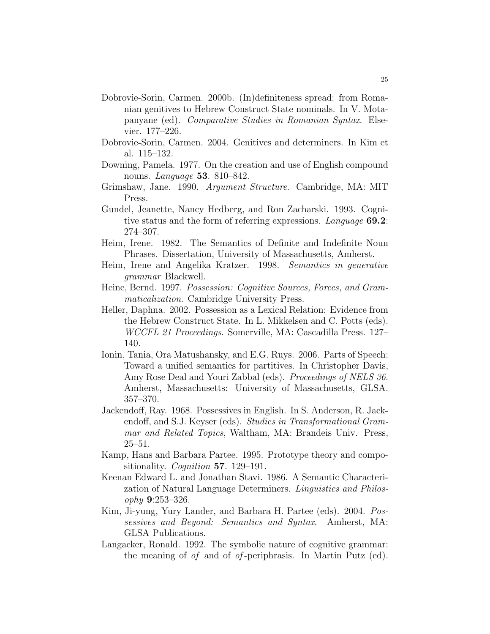- Dobrovie-Sorin, Carmen. 2000b. (In)definiteness spread: from Romanian genitives to Hebrew Construct State nominals. In V. Motapanyane (ed). Comparative Studies in Romanian Syntax. Elsevier. 177–226.
- Dobrovie-Sorin, Carmen. 2004. Genitives and determiners. In Kim et al. 115–132.
- Downing, Pamela. 1977. On the creation and use of English compound nouns. *Language* 53. 810–842.
- Grimshaw, Jane. 1990. Argument Structure. Cambridge, MA: MIT Press.
- Gundel, Jeanette, Nancy Hedberg, and Ron Zacharski. 1993. Cognitive status and the form of referring expressions. Language 69.2: 274–307.
- Heim, Irene. 1982. The Semantics of Definite and Indefinite Noun Phrases. Dissertation, University of Massachusetts, Amherst.
- Heim, Irene and Angelika Kratzer. 1998. Semantics in generative grammar Blackwell.
- Heine, Bernd. 1997. Possession: Cognitive Sources, Forces, and Grammaticalization. Cambridge University Press.
- Heller, Daphna. 2002. Possession as a Lexical Relation: Evidence from the Hebrew Construct State. In L. Mikkelsen and C. Potts (eds). WCCFL 21 Proceedings. Somerville, MA: Cascadilla Press. 127– 140.
- Ionin, Tania, Ora Matushansky, and E.G. Ruys. 2006. Parts of Speech: Toward a unified semantics for partitives. In Christopher Davis, Amy Rose Deal and Youri Zabbal (eds). *Proceedings of NELS 36*. Amherst, Massachusetts: University of Massachusetts, GLSA. 357–370.
- Jackendoff, Ray. 1968. Possessives in English. In S. Anderson, R. Jackendoff, and S.J. Keyser (eds). Studies in Transformational Grammar and Related Topics, Waltham, MA: Brandeis Univ. Press, 25–51.
- Kamp, Hans and Barbara Partee. 1995. Prototype theory and compositionality. *Cognition* 57. 129–191.
- Keenan Edward L. and Jonathan Stavi. 1986. A Semantic Characterization of Natural Language Determiners. *Linguistics and Philos*ophy 9:253–326.
- Kim, Ji-yung, Yury Lander, and Barbara H. Partee (eds). 2004. Possessives and Beyond: Semantics and Syntax. Amherst, MA: GLSA Publications.
- Langacker, Ronald. 1992. The symbolic nature of cognitive grammar: the meaning of of and of of -periphrasis. In Martin Putz (ed).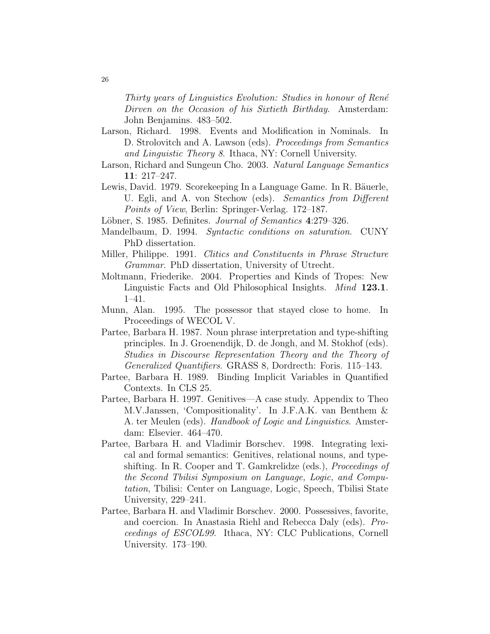Thirty years of Linguistics Evolution: Studies in honour of René Dirven on the Occasion of his Sixtieth Birthday. Amsterdam: John Benjamins. 483–502.

- Larson, Richard. 1998. Events and Modification in Nominals. In D. Strolovitch and A. Lawson (eds). *Proceedings from Semantics* and Linguistic Theory 8. Ithaca, NY: Cornell University.
- Larson, Richard and Sungeun Cho. 2003. Natural Language Semantics 11: 217–247.
- Lewis, David. 1979. Scorekeeping In a Language Game. In R. Bäuerle, U. Egli, and A. von Stechow (eds). Semantics from Different Points of View, Berlin: Springer-Verlag. 172–187.
- Löbner, S. 1985. Definites. Journal of Semantics 4:279–326.
- Mandelbaum, D. 1994. Syntactic conditions on saturation. CUNY PhD dissertation.
- Miller, Philippe. 1991. Clitics and Constituents in Phrase Structure Grammar. PhD dissertation, University of Utrecht.
- Moltmann, Friederike. 2004. Properties and Kinds of Tropes: New Linguistic Facts and Old Philosophical Insights. *Mind* 123.1. 1–41.
- Munn, Alan. 1995. The possessor that stayed close to home. In Proceedings of WECOL V.
- Partee, Barbara H. 1987. Noun phrase interpretation and type-shifting principles. In J. Groenendijk, D. de Jongh, and M. Stokhof (eds). Studies in Discourse Representation Theory and the Theory of Generalized Quantifiers. GRASS 8, Dordrecth: Foris. 115–143.
- Partee, Barbara H. 1989. Binding Implicit Variables in Quantified Contexts. In CLS 25.
- Partee, Barbara H. 1997. Genitives—A case study. Appendix to Theo M.V.Janssen, 'Compositionality'. In J.F.A.K. van Benthem & A. ter Meulen (eds). *Handbook of Logic and Linguistics*. Amsterdam: Elsevier. 464–470.
- Partee, Barbara H. and Vladimir Borschev. 1998. Integrating lexical and formal semantics: Genitives, relational nouns, and typeshifting. In R. Cooper and T. Gamkrelidze (eds.), *Proceedings of* the Second Tbilisi Symposium on Language, Logic, and Computation, Tbilisi: Center on Language, Logic, Speech, Tbilisi State University, 229–241.
- Partee, Barbara H. and Vladimir Borschev. 2000. Possessives, favorite, and coercion. In Anastasia Riehl and Rebecca Daly (eds). Proceedings of ESCOL99. Ithaca, NY: CLC Publications, Cornell University. 173–190.